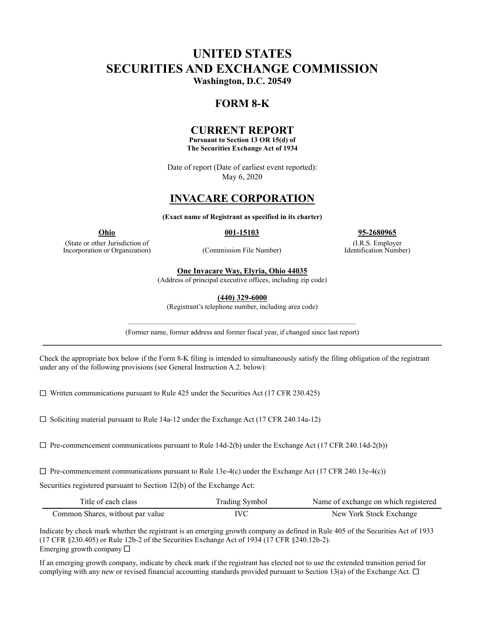# **UNITED STATES SECURITIES AND EXCHANGE COMMISSION Washington, D.C. 20549**

## **FORM 8-K**

## **CURRENT REPORT**

**Pursuant to Section 13 OR 15(d) of The Securities Exchange Act of 1934**

Date of report (Date of earliest event reported): May 6, 2020

# **INVACARE CORPORATION**

**(Exact name of Registrant as specified in its charter)**

(State or other Jurisdiction of Incorporation or Organization) (Commission File Number)

**Ohio 001-15103 95-2680965**

(I.R.S. Employer Identification Number)

**One Invacare Way, Elyria, Ohio 44035**

(Address of principal executive offices, including zip code)

**(440) 329-6000**

(Registrant's telephone number, including area code)

———————————————————————————————— (Former name, former address and former fiscal year, if changed since last report) **————————————————————————————————————**

Check the appropriate box below if the Form 8-K filing is intended to simultaneously satisfy the filing obligation of the registrant under any of the following provisions (see General Instruction A.2. below):

 $\Box$  Written communications pursuant to Rule 425 under the Securities Act (17 CFR 230.425)

 $\Box$  Soliciting material pursuant to Rule 14a-12 under the Exchange Act (17 CFR 240.14a-12)

 $\Box$  Pre-commencement communications pursuant to Rule 14d-2(b) under the Exchange Act (17 CFR 240.14d-2(b))

 $\Box$  Pre-commencement communications pursuant to Rule 13e-4(c) under the Exchange Act (17 CFR 240.13e-4(c))

Securities registered pursuant to Section 12(b) of the Exchange Act:

 $\overline{a}$ 

| Title of each class              | Trading Symbol | Name of exchange on which registered |
|----------------------------------|----------------|--------------------------------------|
| Common Shares, without par value | IVC            | New York Stock Exchange              |

Indicate by check mark whether the registrant is an emerging growth company as defined in Rule 405 of the Securities Act of 1933 (17 CFR §230.405) or Rule 12b-2 of the Securities Exchange Act of 1934 (17 CFR §240.12b-2). Emerging growth company  $\square$ 

If an emerging growth company, indicate by check mark if the registrant has elected not to use the extended transition period for complying with any new or revised financial accounting standards provided pursuant to Section 13(a) of the Exchange Act.  $\Box$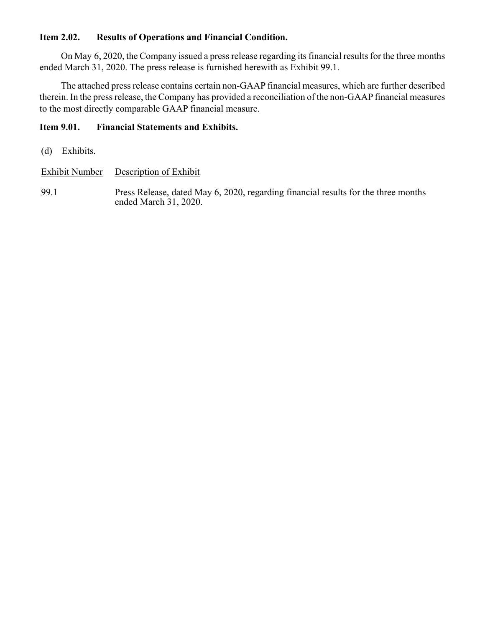## **Item 2.02. Results of Operations and Financial Condition.**

On May 6, 2020, the Company issued a press release regarding its financial results for the three months ended March 31, 2020. The press release is furnished herewith as Exhibit 99.1.

The attached press release contains certain non-GAAP financial measures, which are further described therein. In the press release, the Company has provided a reconciliation of the non-GAAP financial measures to the most directly comparable GAAP financial measure.

## **Item 9.01. Financial Statements and Exhibits.**

(d) Exhibits.

Exhibit Number Description of Exhibit

99.1 Press Release, dated May 6, 2020, regarding financial results for the three months ended March 31, 2020.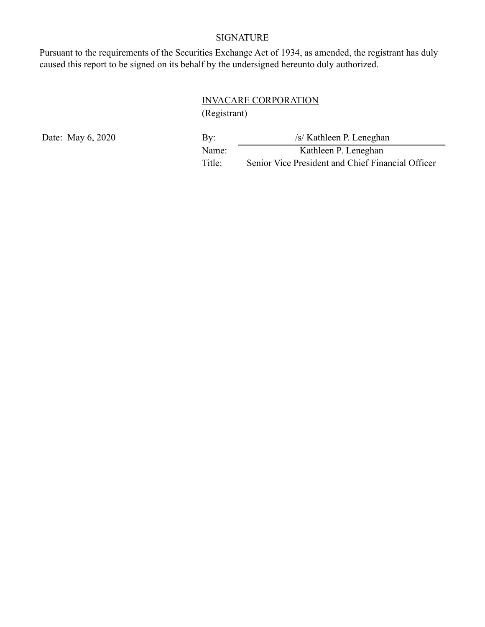## SIGNATURE

Pursuant to the requirements of the Securities Exchange Act of 1934, as amended, the registrant has duly caused this report to be signed on its behalf by the undersigned hereunto duly authorized.

# INVACARE CORPORATION

(Registrant)

Date: May 6, 2020

| By:    | /s/ Kathleen P. Leneghan                          |
|--------|---------------------------------------------------|
| Name:  | Kathleen P. Leneghan                              |
| Title: | Senior Vice President and Chief Financial Officer |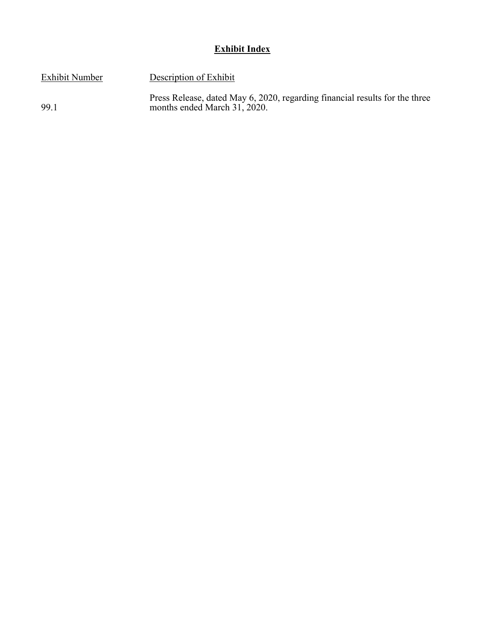# **Exhibit Index**

Exhibit Number Description of Exhibit

99.1

Press Release, dated May 6, 2020, regarding financial results for the three months ended March 31, 2020.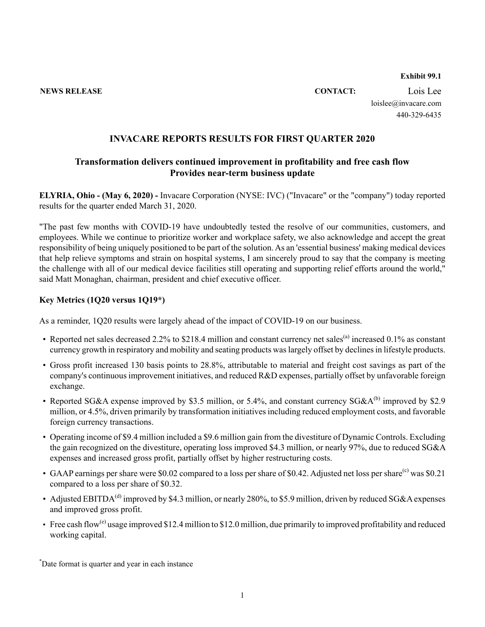**Exhibit 99.1 NEWS RELEASE CONTACT:** Lois Lee loislee@invacare.com 440-329-6435

## **INVACARE REPORTS RESULTS FOR FIRST QUARTER 2020**

## **Transformation delivers continued improvement in profitability and free cash flow Provides near-term business update**

**ELYRIA, Ohio - (May 6, 2020) -** Invacare Corporation (NYSE: IVC) ("Invacare" or the "company") today reported results for the quarter ended March 31, 2020.

"The past few months with COVID-19 have undoubtedly tested the resolve of our communities, customers, and employees. While we continue to prioritize worker and workplace safety, we also acknowledge and accept the great responsibility of being uniquely positioned to be part of the solution. As an 'essential business' making medical devices that help relieve symptoms and strain on hospital systems, I am sincerely proud to say that the company is meeting the challenge with all of our medical device facilities still operating and supporting relief efforts around the world," said Matt Monaghan, chairman, president and chief executive officer.

#### **Key Metrics (1Q20 versus 1Q19\*)**

As a reminder, 1Q20 results were largely ahead of the impact of COVID-19 on our business.

- Reported net sales decreased 2.2% to \$218.4 million and constant currency net sales<sup>(a)</sup> increased 0.1% as constant currency growth in respiratory and mobility and seating products was largely offset by declines in lifestyle products.
- Gross profit increased 130 basis points to 28.8%, attributable to material and freight cost savings as part of the company's continuous improvement initiatives, and reduced R&D expenses, partially offset by unfavorable foreign exchange.
- Reported SG&A expense improved by \$3.5 million, or 5.4%, and constant currency SG&A<sup>(b)</sup> improved by \$2.9 million, or 4.5%, driven primarily by transformation initiatives including reduced employment costs, and favorable foreign currency transactions.
- Operating income of \$9.4 million included a \$9.6 million gain from the divestiture of Dynamic Controls. Excluding the gain recognized on the divestiture, operating loss improved \$4.3 million, or nearly 97%, due to reduced SG&A expenses and increased gross profit, partially offset by higher restructuring costs.
- GAAP earnings per share were \$0.02 compared to a loss per share of \$0.42. Adjusted net loss per share<sup>(c)</sup> was \$0.21 compared to a loss per share of \$0.32.
- Adjusted EBITDA<sup>(d)</sup> improved by \$4.3 million, or nearly 280%, to \$5.9 million, driven by reduced SG&A expenses and improved gross profit.
- Free cash flow<sup>(e)</sup> usage improved \$12.4 million to \$12.0 million, due primarily to improved profitability and reduced working capital.

\*Date format is quarter and year in each instance

#### 1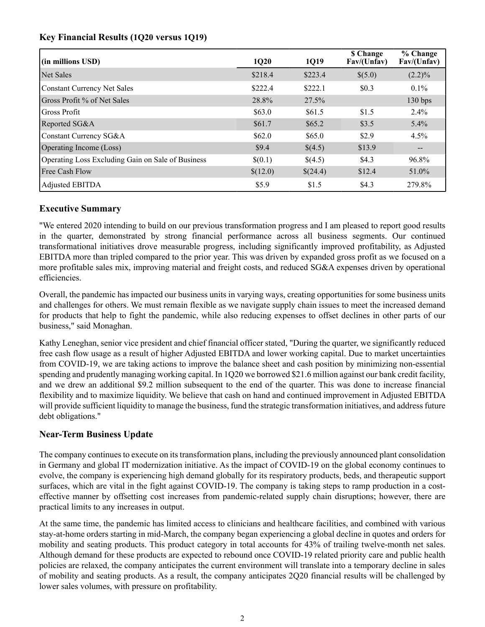## **Key Financial Results (1Q20 versus 1Q19)**

| (in millions USD)                                 | 1Q20     | 1Q19     | <b>S</b> Change<br>Fav/(Unfav) | $%$ Change<br>Fav/(Unfav)             |
|---------------------------------------------------|----------|----------|--------------------------------|---------------------------------------|
| Net Sales                                         | \$218.4  | \$223.4  | \$(5.0)                        | $(2.2)\%$                             |
| <b>Constant Currency Net Sales</b>                | \$222.4  | \$222.1  | \$0.3                          | $0.1\%$                               |
| Gross Profit % of Net Sales                       | 28.8%    | 27.5%    |                                | 130 bps                               |
| 'Gross Profit                                     | \$63.0   | \$61.5   | \$1.5                          | $2.4\%$                               |
| Reported SG&A                                     | \$61.7   | \$65.2\$ | \$3.5                          | $5.4\%$                               |
| Constant Currency SG&A                            | \$62.0   | \$65.0   | \$2.9                          | $4.5\%$                               |
| Operating Income (Loss)                           | \$9.4    | \$(4.5)  | \$13.9                         | $\hspace{0.05cm}$ – $\hspace{0.05cm}$ |
| Operating Loss Excluding Gain on Sale of Business | \$(0.1)  | \$(4.5)  | \$4.3                          | 96.8%                                 |
| Free Cash Flow                                    | \$(12.0) | \$(24.4) | \$12.4                         | 51.0%                                 |
| <b>Adjusted EBITDA</b>                            | \$5.9    | \$1.5    | \$4.3                          | 279.8%                                |

## **Executive Summary**

"We entered 2020 intending to build on our previous transformation progress and I am pleased to report good results in the quarter, demonstrated by strong financial performance across all business segments. Our continued transformational initiatives drove measurable progress, including significantly improved profitability, as Adjusted EBITDA more than tripled compared to the prior year. This was driven by expanded gross profit as we focused on a more profitable sales mix, improving material and freight costs, and reduced SG&A expenses driven by operational efficiencies.

Overall, the pandemic has impacted our business units in varying ways, creating opportunities for some business units and challenges for others. We must remain flexible as we navigate supply chain issues to meet the increased demand for products that help to fight the pandemic, while also reducing expenses to offset declines in other parts of our business," said Monaghan.

Kathy Leneghan, senior vice president and chief financial officer stated, "During the quarter, we significantly reduced free cash flow usage as a result of higher Adjusted EBITDA and lower working capital. Due to market uncertainties from COVID-19, we are taking actions to improve the balance sheet and cash position by minimizing non-essential spending and prudently managing working capital. In 1Q20 we borrowed \$21.6 million against our bank credit facility, and we drew an additional \$9.2 million subsequent to the end of the quarter. This was done to increase financial flexibility and to maximize liquidity. We believe that cash on hand and continued improvement in Adjusted EBITDA will provide sufficient liquidity to manage the business, fund the strategic transformation initiatives, and address future debt obligations."

## **Near-Term Business Update**

The company continues to execute on its transformation plans, including the previously announced plant consolidation in Germany and global IT modernization initiative. As the impact of COVID-19 on the global economy continues to evolve, the company is experiencing high demand globally for its respiratory products, beds, and therapeutic support surfaces, which are vital in the fight against COVID-19. The company is taking steps to ramp production in a costeffective manner by offsetting cost increases from pandemic-related supply chain disruptions; however, there are practical limits to any increases in output.

At the same time, the pandemic has limited access to clinicians and healthcare facilities, and combined with various stay-at-home orders starting in mid-March, the company began experiencing a global decline in quotes and orders for mobility and seating products. This product category in total accounts for 43% of trailing twelve-month net sales. Although demand for these products are expected to rebound once COVID-19 related priority care and public health policies are relaxed, the company anticipates the current environment will translate into a temporary decline in sales of mobility and seating products. As a result, the company anticipates 2Q20 financial results will be challenged by lower sales volumes, with pressure on profitability.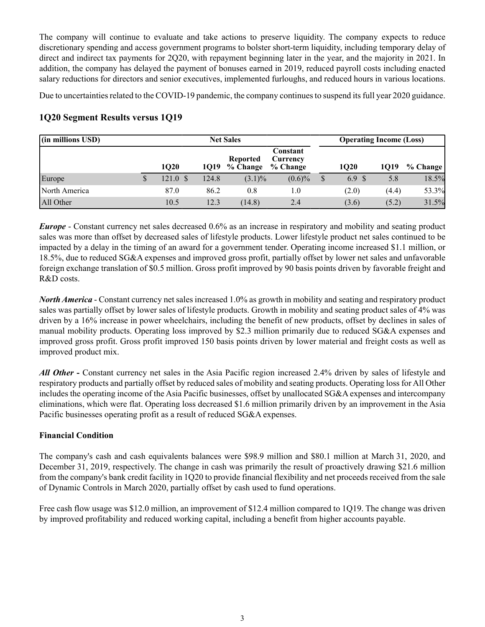The company will continue to evaluate and take actions to preserve liquidity. The company expects to reduce discretionary spending and access government programs to bolster short-term liquidity, including temporary delay of direct and indirect tax payments for 2Q20, with repayment beginning later in the year, and the majority in 2021. In addition, the company has delayed the payment of bonuses earned in 2019, reduced payroll costs including enacted salary reductions for directors and senior executives, implemented furloughs, and reduced hours in various locations.

Due to uncertainties related to the COVID-19 pandemic, the company continues to suspend its full year 2020 guidance.

| (in millions USD) |         |       | <b>Net Sales</b>            |                                  | <b>Operating Income (Loss)</b> |                  |       |            |
|-------------------|---------|-------|-----------------------------|----------------------------------|--------------------------------|------------------|-------|------------|
|                   | 1Q20    | 1019  | <b>Reported</b><br>% Change | Constant<br>Currency<br>% Change |                                | 1020             | 1019  | $%$ Change |
| Europe            | 121.0 S | 124.8 | $(3.1)\%$                   | $(0.6)\%$                        | $\mathbb{S}$                   | 6.9 <sup>°</sup> | 5.8   | 18.5%      |
| North America     | 87.0    | 86.2  | 0.8                         | 1.0 <sub>1</sub>                 |                                | (2.0)            | (4.4) | 53.3%      |
| All Other         | 10.5    | 12.3  | (14.8)                      | 2.4                              |                                | (3.6)            | (5.2) | 31.5%      |

## **1Q20 Segment Results versus 1Q19**

*Europe* - Constant currency net sales decreased 0.6% as an increase in respiratory and mobility and seating product sales was more than offset by decreased sales of lifestyle products. Lower lifestyle product net sales continued to be impacted by a delay in the timing of an award for a government tender. Operating income increased \$1.1 million, or 18.5%, due to reduced SG&A expenses and improved gross profit, partially offset by lower net sales and unfavorable foreign exchange translation of \$0.5 million. Gross profit improved by 90 basis points driven by favorable freight and R&D costs.

*North America* - Constant currency net sales increased 1.0% as growth in mobility and seating and respiratory product sales was partially offset by lower sales of lifestyle products. Growth in mobility and seating product sales of 4% was driven by a 16% increase in power wheelchairs, including the benefit of new products, offset by declines in sales of manual mobility products. Operating loss improved by \$2.3 million primarily due to reduced SG&A expenses and improved gross profit. Gross profit improved 150 basis points driven by lower material and freight costs as well as improved product mix.

*All Other* **-** Constant currency net sales in the Asia Pacific region increased 2.4% driven by sales of lifestyle and respiratory products and partially offset by reduced sales of mobility and seating products. Operating loss for All Other includes the operating income of the Asia Pacific businesses, offset by unallocated SG&A expenses and intercompany eliminations, which were flat. Operating loss decreased \$1.6 million primarily driven by an improvement in the Asia Pacific businesses operating profit as a result of reduced SG&A expenses.

## **Financial Condition**

The company's cash and cash equivalents balances were \$98.9 million and \$80.1 million at March 31, 2020, and December 31, 2019, respectively. The change in cash was primarily the result of proactively drawing \$21.6 million from the company's bank credit facility in 1Q20 to provide financial flexibility and net proceeds received from the sale of Dynamic Controls in March 2020, partially offset by cash used to fund operations.

Free cash flow usage was \$12.0 million, an improvement of \$12.4 million compared to 1Q19. The change was driven by improved profitability and reduced working capital, including a benefit from higher accounts payable.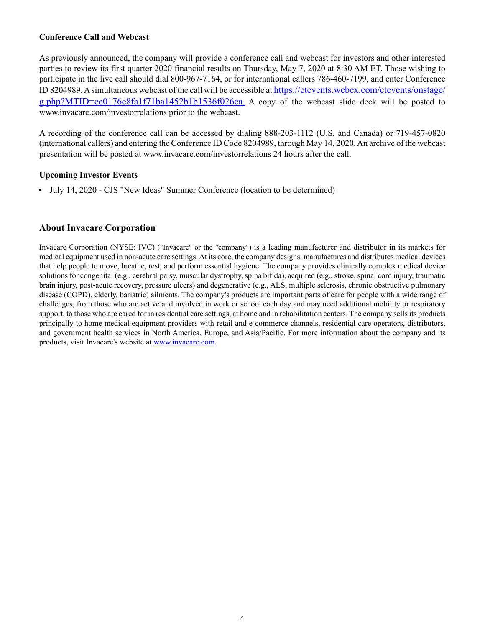#### **Conference Call and Webcast**

As previously announced, the company will provide a conference call and webcast for investors and other interested parties to review its first quarter 2020 financial results on Thursday, May 7, 2020 at 8:30 AM ET. Those wishing to participate in the live call should dial 800-967-7164, or for international callers 786-460-7199, and enter Conference ID 8204989. Asimultaneous webcast of the call will be accessible at https://ctevents.webex.com/ctevents/onstage/ g.php?MTID=ee0176e8fa1f71ba1452b1b1536f026ca. A copy of the webcast slide deck will be posted to www.invacare.com/investorrelations prior to the webcast.

A recording of the conference call can be accessed by dialing 888-203-1112 (U.S. and Canada) or 719-457-0820 (international callers) and entering the Conference ID Code 8204989, through May 14, 2020. An archive of the webcast presentation will be posted at www.invacare.com/investorrelations 24 hours after the call.

#### **Upcoming Investor Events**

• July 14, 2020 - CJS "New Ideas" Summer Conference (location to be determined)

## **About Invacare Corporation**

Invacare Corporation (NYSE: IVC) ("Invacare" or the "company") is a leading manufacturer and distributor in its markets for medical equipment used in non-acute care settings. At its core, the company designs, manufactures and distributes medical devices that help people to move, breathe, rest, and perform essential hygiene. The company provides clinically complex medical device solutions for congenital (e.g., cerebral palsy, muscular dystrophy, spina bifida), acquired (e.g., stroke, spinal cord injury, traumatic brain injury, post-acute recovery, pressure ulcers) and degenerative (e.g., ALS, multiple sclerosis, chronic obstructive pulmonary disease (COPD), elderly, bariatric) ailments. The company's products are important parts of care for people with a wide range of challenges, from those who are active and involved in work or school each day and may need additional mobility or respiratory support, to those who are cared for in residential care settings, at home and in rehabilitation centers. The company sells its products principally to home medical equipment providers with retail and e-commerce channels, residential care operators, distributors, and government health services in North America, Europe, and Asia/Pacific. For more information about the company and its products, visit Invacare's website at www.invacare.com.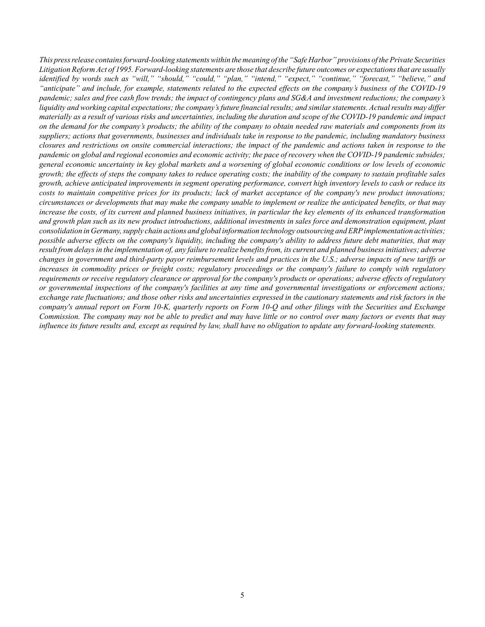*This press release contains forward-looking statements within the meaning of the "Safe Harbor" provisions of the Private Securities Litigation Reform Act of 1995. Forward-looking statements are those that describe future outcomes or expectations that are usually identified by words such as "will," "should," "could," "plan," "intend," "expect," "continue," "forecast," "believe," and "anticipate" and include, for example, statements related to the expected effects on the company's business of the COVID-19 pandemic; sales and free cash flow trends; the impact of contingency plans and SG&A and investment reductions; the company's liquidity and working capital expectations; the company's future financial results; and similar statements. Actual results may differ materially as a result of various risks and uncertainties, including the duration and scope of the COVID-19 pandemic and impact on the demand for the company's products; the ability of the company to obtain needed raw materials and components from its suppliers; actions that governments, businesses and individuals take in response to the pandemic, including mandatory business closures and restrictions on onsite commercial interactions; the impact of the pandemic and actions taken in response to the pandemic on global and regional economies and economic activity; the pace of recovery when the COVID-19 pandemic subsides; general economic uncertainty in key global markets and a worsening of global economic conditions or low levels of economic growth; the effects of steps the company takes to reduce operating costs; the inability of the company to sustain profitable sales growth, achieve anticipated improvements in segment operating performance, convert high inventory levels to cash or reduce its costs to maintain competitive prices for its products; lack of market acceptance of the company's new product innovations; circumstances or developments that may make the company unable to implement or realize the anticipated benefits, or that may increase the costs, of its current and planned business initiatives, in particular the key elements of its enhanced transformation and growth plan such as its new product introductions, additional investments in sales force and demonstration equipment, plant consolidation in Germany, supply chain actions and global information technology outsourcing and ERPimplementation activities; possible adverse effects on the company's liquidity, including the company's ability to address future debt maturities, that may result from delays in the implementation of, any failure to realize benefits from, its current and planned business initiatives; adverse changes in government and third-party payor reimbursement levels and practices in the U.S.; adverse impacts of new tariffs or*  increases in commodity prices or freight costs; regulatory proceedings or the company's failure to comply with regulatory *requirements or receive regulatory clearance or approval for the company's products or operations; adverse effects of regulatory or governmental inspections of the company's facilities at any time and governmental investigations or enforcement actions; exchange rate fluctuations; and those other risks and uncertainties expressed in the cautionary statements and risk factors in the company's annual report on Form 10-K, quarterly reports on Form 10-Q and other filings with the Securities and Exchange Commission. The company may not be able to predict and may have little or no control over many factors or events that may influence its future results and, except as required by law, shall have no obligation to update any forward-looking statements.*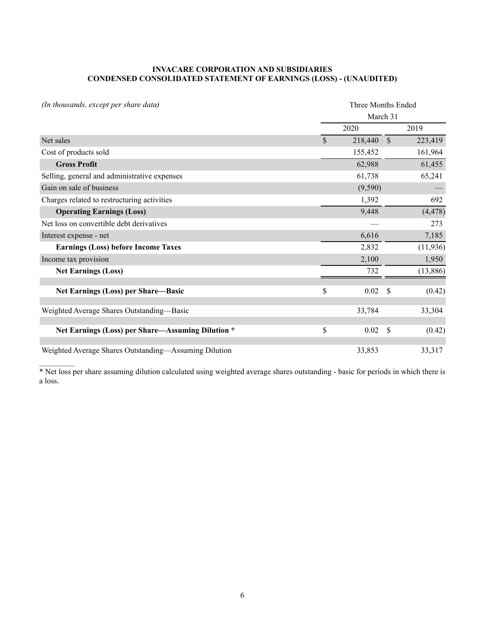#### **INVACARE CORPORATION AND SUBSIDIARIES CONDENSED CONSOLIDATED STATEMENT OF EARNINGS (LOSS) - (UNAUDITED)**

| (In thousands, except per share data)                 |               | Three Months Ended<br>March 31 |              |           |  |
|-------------------------------------------------------|---------------|--------------------------------|--------------|-----------|--|
|                                                       |               | 2020                           |              | 2019      |  |
| Net sales                                             | $\mathcal{S}$ | 218,440                        | $\mathbb{S}$ | 223,419   |  |
| Cost of products sold                                 |               | 155,452                        |              | 161,964   |  |
| <b>Gross Profit</b>                                   |               | 62,988                         |              | 61,455    |  |
| Selling, general and administrative expenses          |               | 61,738                         |              | 65,241    |  |
| Gain on sale of business                              |               | (9,590)                        |              |           |  |
| Charges related to restructuring activities           |               | 1,392                          |              | 692       |  |
| <b>Operating Earnings (Loss)</b>                      |               | 9,448                          |              | (4, 478)  |  |
| Net loss on convertible debt derivatives              |               |                                |              | 273       |  |
| Interest expense - net                                |               | 6,616                          |              | 7,185     |  |
| <b>Earnings (Loss) before Income Taxes</b>            |               | 2,832                          |              | (11, 936) |  |
| Income tax provision                                  |               | 2,100                          |              | 1,950     |  |
| <b>Net Earnings (Loss)</b>                            |               | 732                            |              | (13,886)  |  |
| Net Earnings (Loss) per Share-Basic                   | \$            | 0.02                           | \$           | (0.42)    |  |
| Weighted Average Shares Outstanding-Basic             |               | 33,784                         |              | 33,304    |  |
| Net Earnings (Loss) per Share-Assuming Dilution *     | \$            | 0.02                           | -S           | (0.42)    |  |
| Weighted Average Shares Outstanding-Assuming Dilution |               | 33,853                         |              | 33,317    |  |

\* Net loss per share assuming dilution calculated using weighted average shares outstanding - basic for periods in which there is a loss.

 $\mathcal{L}_\text{max}$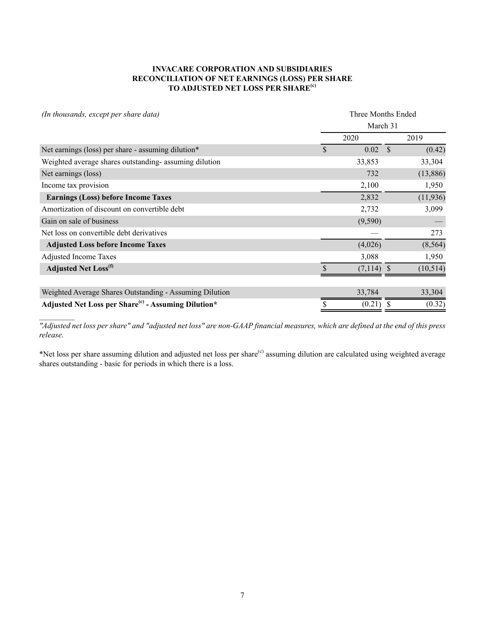#### **INVACARE CORPORATION AND SUBSIDIARIES RECONCILIATION OF NET EARNINGS (LOSS) PER SHARE TO ADJUSTED NET LOSS PER SHARE(c)**

| (In thousands, except per share data)                           |               | Three Months Ended |              |           |  |  |  |  |  |  |
|-----------------------------------------------------------------|---------------|--------------------|--------------|-----------|--|--|--|--|--|--|
|                                                                 |               | March 31           |              |           |  |  |  |  |  |  |
|                                                                 |               | 2020               | 2019         |           |  |  |  |  |  |  |
| Net earnings (loss) per share - assuming dilution*              | \$            | 0.02               | $\mathbf{s}$ | (0.42)    |  |  |  |  |  |  |
| Weighted average shares outstanding-assuming dilution           |               | 33,853             |              | 33,304    |  |  |  |  |  |  |
| Net earnings (loss)                                             |               | 732                |              | (13,886)  |  |  |  |  |  |  |
| Income tax provision                                            |               | 2,100              |              | 1,950     |  |  |  |  |  |  |
| <b>Earnings (Loss) before Income Taxes</b>                      |               | 2,832              |              | (11, 936) |  |  |  |  |  |  |
| Amortization of discount on convertible debt                    |               | 2,732              |              | 3,099     |  |  |  |  |  |  |
| Gain on sale of business                                        |               | (9,590)            |              |           |  |  |  |  |  |  |
| Net loss on convertible debt derivatives                        |               |                    |              | 273       |  |  |  |  |  |  |
| <b>Adjusted Loss before Income Taxes</b>                        |               | (4,026)            |              | (8, 564)  |  |  |  |  |  |  |
| Adjusted Income Taxes                                           |               | 3,088              |              | 1,950     |  |  |  |  |  |  |
| <b>Adjusted Net Loss</b> <sup>(f)</sup>                         | $\mathcal{S}$ | $(7, 114)$ \$      |              | (10, 514) |  |  |  |  |  |  |
|                                                                 |               |                    |              |           |  |  |  |  |  |  |
| Weighted Average Shares Outstanding - Assuming Dilution         |               | 33,784             |              | 33,304    |  |  |  |  |  |  |
| Adjusted Net Loss per Share <sup>(c)</sup> - Assuming Dilution* |               | (0.21)             |              | (0.32)    |  |  |  |  |  |  |

*"Adjusted net loss per share" and "adjusted net loss" are non-GAAP financial measures, which are defined at the end of this press release.* 

\*Net loss per share assuming dilution and adjusted net loss per share<sup>(c)</sup> assuming dilution are calculated using weighted average shares outstanding - basic for periods in which there is a loss.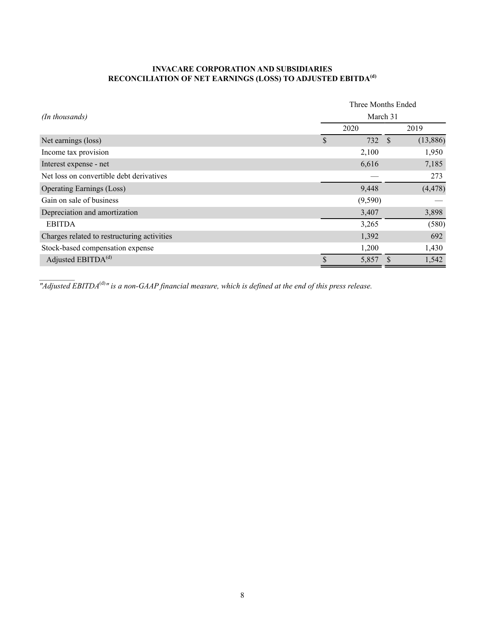## **INVACARE CORPORATION AND SUBSIDIARIES RECONCILIATION OF NET EARNINGS (LOSS) TO ADJUSTED EBITDA(d)**

|                                             |      | Three Months Ended |          |          |  |  |  |  |
|---------------------------------------------|------|--------------------|----------|----------|--|--|--|--|
| (In thousands)                              |      | March 31           |          |          |  |  |  |  |
|                                             | 2020 |                    |          | 2019     |  |  |  |  |
| Net earnings (loss)                         | \$   | 732                | <b>S</b> | (13,886) |  |  |  |  |
| Income tax provision                        |      | 2,100              |          | 1,950    |  |  |  |  |
| Interest expense - net                      |      | 6,616              |          | 7,185    |  |  |  |  |
| Net loss on convertible debt derivatives    |      |                    |          | 273      |  |  |  |  |
| <b>Operating Earnings (Loss)</b>            |      | 9,448              |          | (4, 478) |  |  |  |  |
| Gain on sale of business                    |      | (9,590)            |          |          |  |  |  |  |
| Depreciation and amortization               |      | 3,407              |          | 3,898    |  |  |  |  |
| <b>EBITDA</b>                               |      | 3,265              |          | (580)    |  |  |  |  |
| Charges related to restructuring activities |      | 1,392              |          | 692      |  |  |  |  |
| Stock-based compensation expense            |      | 1,200              |          | 1,430    |  |  |  |  |
| Adjusted EBITDA <sup>(d)</sup>              |      | 5,857              |          | 1,542    |  |  |  |  |

*"Adjusted EBITDA*(d)*" is a non-GAAP financial measure, which is defined at the end of this press release.*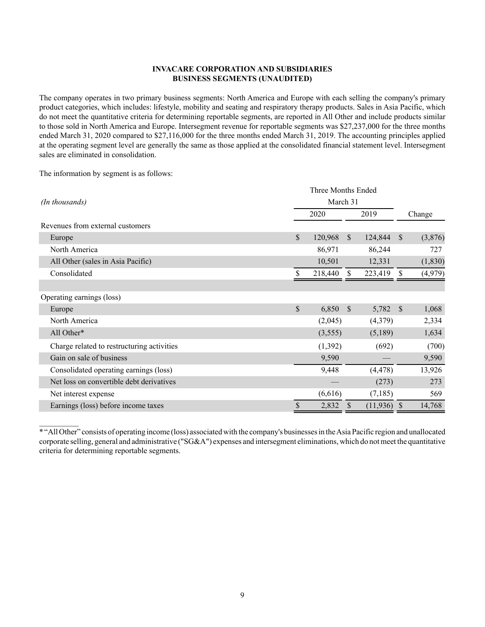#### **INVACARE CORPORATION AND SUBSIDIARIES BUSINESS SEGMENTS (UNAUDITED)**

The company operates in two primary business segments: North America and Europe with each selling the company's primary product categories, which includes: lifestyle, mobility and seating and respiratory therapy products. Sales in Asia Pacific, which do not meet the quantitative criteria for determining reportable segments, are reported in All Other and include products similar to those sold in North America and Europe. Intersegment revenue for reportable segments was \$27,237,000 for the three months ended March 31, 2020 compared to \$27,116,000 for the three months ended March 31, 2019. The accounting principles applied at the operating segment level are generally the same as those applied at the consolidated financial statement level. Intersegment sales are eliminated in consolidation.

The information by segment is as follows:

| (In thousands)                             | Three Months Ended<br>March 31 |          |              |               |               |          |  |
|--------------------------------------------|--------------------------------|----------|--------------|---------------|---------------|----------|--|
|                                            | 2020                           |          |              | 2019          | Change        |          |  |
| Revenues from external customers           |                                |          |              |               |               |          |  |
| Europe                                     | $\mathcal{S}$                  | 120,968  | $\mathbb{S}$ | 124,844       | <sup>\$</sup> | (3,876)  |  |
| North America                              |                                | 86,971   |              | 86,244        |               | 727      |  |
| All Other (sales in Asia Pacific)          |                                | 10,501   |              | 12,331        |               | (1, 830) |  |
| Consolidated                               |                                | 218,440  | \$           | 223,419       | \$            | (4, 979) |  |
|                                            |                                |          |              |               |               |          |  |
| Operating earnings (loss)                  |                                |          |              |               |               |          |  |
| Europe                                     | $\mathcal{S}$                  | 6,850    | <sup>S</sup> | 5,782         | <sup>S</sup>  | 1,068    |  |
| North America                              |                                | (2,045)  |              | (4,379)       |               | 2,334    |  |
| All Other*                                 |                                | (3,555)  |              | (5,189)       |               | 1,634    |  |
| Charge related to restructuring activities |                                | (1, 392) |              | (692)         |               | (700)    |  |
| Gain on sale of business                   |                                | 9,590    |              |               |               | 9,590    |  |
| Consolidated operating earnings (loss)     |                                | 9,448    |              | (4, 478)      |               | 13,926   |  |
| Net loss on convertible debt derivatives   |                                |          |              | (273)         |               | 273      |  |
| Net interest expense                       |                                | (6,616)  |              | (7,185)       |               | 569      |  |
| Earnings (loss) before income taxes        | \$                             | 2,832    | \$           | $(11,936)$ \$ |               | 14,768   |  |

\*"All Other" consists of operating income (loss) associated with the company's businesses in the Asia Pacific region and unallocated corporate selling, general and administrative ("SG&A") expenses and intersegment eliminations, which do not meet the quantitative criteria for determining reportable segments.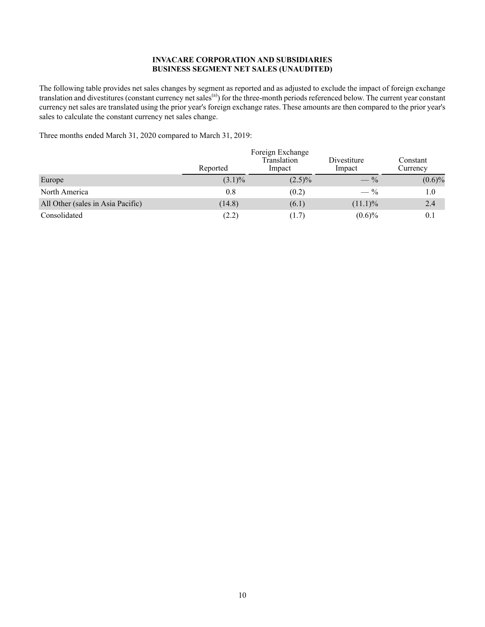#### **INVACARE CORPORATION AND SUBSIDIARIES BUSINESS SEGMENT NET SALES (UNAUDITED)**

The following table provides net sales changes by segment as reported and as adjusted to exclude the impact of foreign exchange translation and divestitures (constant currency net sales<sup>(a)</sup>) for the three-month periods referenced below. The current year constant currency net sales are translated using the prior year's foreign exchange rates. These amounts are then compared to the prior year's sales to calculate the constant currency net sales change.

Three months ended March 31, 2020 compared to March 31, 2019:

|                                   | Reported  | Foreign Exchange<br>Translation<br>Impact | Divestiture<br>Impact | Constant<br>Currency |  |  |
|-----------------------------------|-----------|-------------------------------------------|-----------------------|----------------------|--|--|
| Europe                            | $(3.1)\%$ | $(2.5)\%$                                 | $- \frac{9}{6}$       | $(0.6)\%$            |  |  |
| North America                     | 0.8       | (0.2)                                     | $- \frac{9}{6}$       | 1.0                  |  |  |
| All Other (sales in Asia Pacific) | (14.8)    | (6.1)                                     | $(11.1)\%$            | 2.4                  |  |  |
| Consolidated                      | (2.2)     | (1.7)                                     | $(0.6)\%$             | 0.1                  |  |  |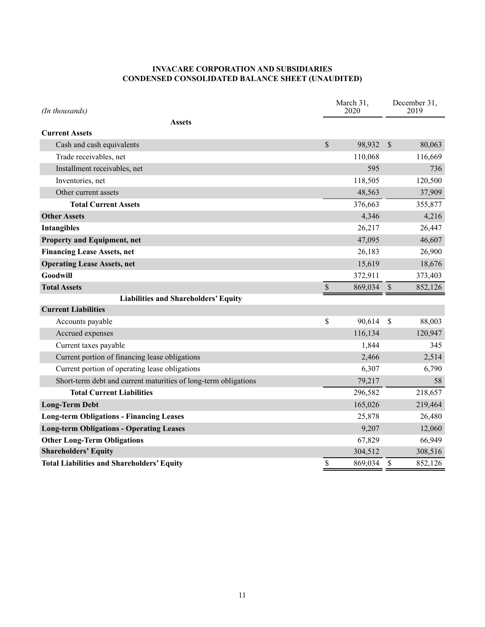#### **INVACARE CORPORATION AND SUBSIDIARIES CONDENSED CONSOLIDATED BALANCE SHEET (UNAUDITED)**

| (In thousands)                                                  |              | March 31,<br>2020 |                    | December 31,<br>2019 |
|-----------------------------------------------------------------|--------------|-------------------|--------------------|----------------------|
| <b>Assets</b>                                                   |              |                   |                    |                      |
| <b>Current Assets</b>                                           |              |                   |                    |                      |
| Cash and cash equivalents                                       | $\mathbb{S}$ | 98,932            | $\mathbb{S}$       | 80,063               |
| Trade receivables, net                                          |              | 110,068           |                    | 116,669              |
| Installment receivables, net                                    |              | 595               |                    | 736                  |
| Inventories, net                                                |              | 118,505           |                    | 120,500              |
| Other current assets                                            |              | 48,563            |                    | 37,909               |
| <b>Total Current Assets</b>                                     |              | 376,663           |                    | 355,877              |
| <b>Other Assets</b>                                             |              | 4,346             |                    | 4,216                |
| <b>Intangibles</b>                                              |              | 26,217            |                    | 26,447               |
| Property and Equipment, net                                     |              | 47,095            |                    | 46,607               |
| <b>Financing Lease Assets, net</b>                              |              | 26,183            |                    | 26,900               |
| <b>Operating Lease Assets, net</b>                              |              | 15,619            |                    | 18,676               |
| Goodwill                                                        |              | 372,911           |                    | 373,403              |
| <b>Total Assets</b>                                             | $\mathbb{S}$ | 869,034           | $\mathcal{S}$      | 852,126              |
| <b>Liabilities and Shareholders' Equity</b>                     |              |                   |                    |                      |
| <b>Current Liabilities</b>                                      |              |                   |                    |                      |
| Accounts payable                                                | \$           | 90,614            | <sup>\$</sup>      | 88,003               |
| Accrued expenses                                                |              | 116,134           |                    | 120,947              |
| Current taxes payable                                           |              | 1,844             |                    | 345                  |
| Current portion of financing lease obligations                  |              | 2,466             |                    | 2,514                |
| Current portion of operating lease obligations                  |              | 6,307             |                    | 6,790                |
| Short-term debt and current maturities of long-term obligations |              | 79,217            |                    | 58                   |
| <b>Total Current Liabilities</b>                                |              | 296,582           |                    | 218,657              |
| <b>Long-Term Debt</b>                                           |              | 165,026           |                    | 219,464              |
| <b>Long-term Obligations - Financing Leases</b>                 |              | 25,878            |                    | 26,480               |
| <b>Long-term Obligations - Operating Leases</b>                 |              | 9,207             |                    | 12,060               |
| <b>Other Long-Term Obligations</b>                              |              | 67,829            |                    | 66,949               |
| <b>Shareholders' Equity</b>                                     |              | 304,512           |                    | 308,516              |
| <b>Total Liabilities and Shareholders' Equity</b>               | \$           | 869,034           | $\mathbf{\hat{S}}$ | 852,126              |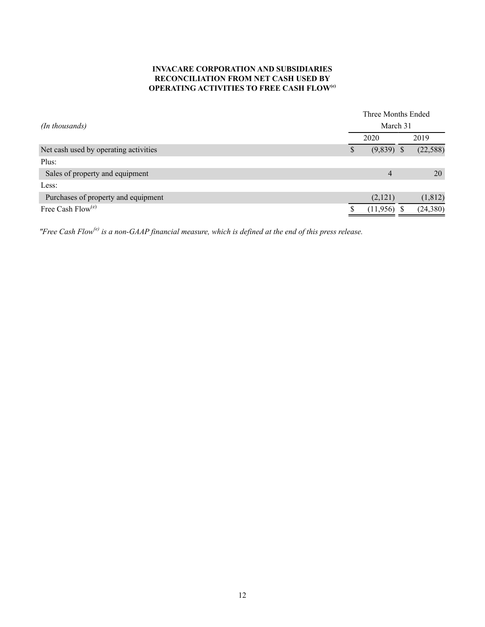#### **INVACARE CORPORATION AND SUBSIDIARIES RECONCILIATION FROM NET CASH USED BY OPERATING ACTIVITIES TO FREE CASH FLOW(e)**

|                                       |          | Three Months Ended |      |           |  |  |  |
|---------------------------------------|----------|--------------------|------|-----------|--|--|--|
| (In thousands)                        | March 31 |                    |      |           |  |  |  |
|                                       |          | 2020               | 2019 |           |  |  |  |
| Net cash used by operating activities |          | $(9,839)$ \$       |      | (22, 588) |  |  |  |
| Plus:                                 |          |                    |      |           |  |  |  |
| Sales of property and equipment       |          | 4                  |      | 20        |  |  |  |
| Less:                                 |          |                    |      |           |  |  |  |
| Purchases of property and equipment   |          | (2,121)            |      | (1, 812)  |  |  |  |
| Free Cash $Flow(e)$                   |          | (11,956)           |      | (24, 380) |  |  |  |

*"Free Cash Flow(e) is a non-GAAP financial measure, which is defined at the end of this press release.*